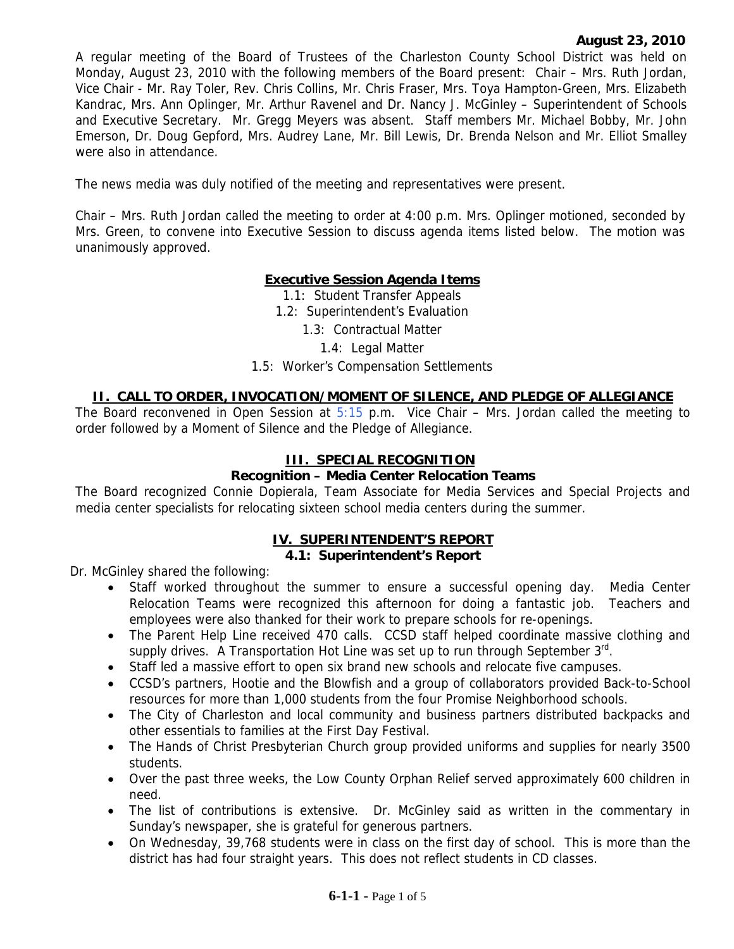A regular meeting of the Board of Trustees of the Charleston County School District was held on Monday, August 23, 2010 with the following members of the Board present: Chair – Mrs. Ruth Jordan, Vice Chair - Mr. Ray Toler, Rev. Chris Collins, Mr. Chris Fraser, Mrs. Toya Hampton-Green, Mrs. Elizabeth Kandrac, Mrs. Ann Oplinger, Mr. Arthur Ravenel and Dr. Nancy J. McGinley – Superintendent of Schools and Executive Secretary. Mr. Gregg Meyers was absent. Staff members Mr. Michael Bobby, Mr. John Emerson, Dr. Doug Gepford, Mrs. Audrey Lane, Mr. Bill Lewis, Dr. Brenda Nelson and Mr. Elliot Smalley were also in attendance.

The news media was duly notified of the meeting and representatives were present.

Chair – Mrs. Ruth Jordan called the meeting to order at 4:00 p.m. Mrs. Oplinger motioned, seconded by Mrs. Green, to convene into Executive Session to discuss agenda items listed below. The motion was unanimously approved.

# **Executive Session Agenda Items**

1.1: Student Transfer Appeals

1.2: Superintendent's Evaluation

1.3: Contractual Matter

1.4: Legal Matter

### 1.5: Worker's Compensation Settlements

## **II. CALL TO ORDER, INVOCATION/MOMENT OF SILENCE, AND PLEDGE OF ALLEGIANCE**

The Board reconvened in Open Session at  $5:15$  p.m. Vice Chair – Mrs. Jordan called the meeting to order followed by a Moment of Silence and the Pledge of Allegiance.

### **III. SPECIAL RECOGNITION**

### **Recognition – Media Center Relocation Teams**

The Board recognized Connie Dopierala, Team Associate for Media Services and Special Projects and media center specialists for relocating sixteen school media centers during the summer.

# **IV. SUPERINTENDENT'S REPORT**

#### **4.1: Superintendent's Report**

Dr. McGinley shared the following:

- Staff worked throughout the summer to ensure a successful opening day. Media Center Relocation Teams were recognized this afternoon for doing a fantastic job. Teachers and employees were also thanked for their work to prepare schools for re-openings.
- The Parent Help Line received 470 calls. CCSD staff helped coordinate massive clothing and supply drives. A Transportation Hot Line was set up to run through September  $3^{rd}$ .
- Staff led a massive effort to open six brand new schools and relocate five campuses.
- CCSD's partners, Hootie and the Blowfish and a group of collaborators provided Back-to-School resources for more than 1,000 students from the four Promise Neighborhood schools.
- The City of Charleston and local community and business partners distributed backpacks and other essentials to families at the First Day Festival.
- The Hands of Christ Presbyterian Church group provided uniforms and supplies for nearly 3500 students.
- Over the past three weeks, the Low County Orphan Relief served approximately 600 children in need.
- The list of contributions is extensive. Dr. McGinley said as written in the commentary in Sunday's newspaper, she is grateful for generous partners.
- On Wednesday, 39,768 students were in class on the first day of school. This is more than the district has had four straight years. This does not reflect students in CD classes.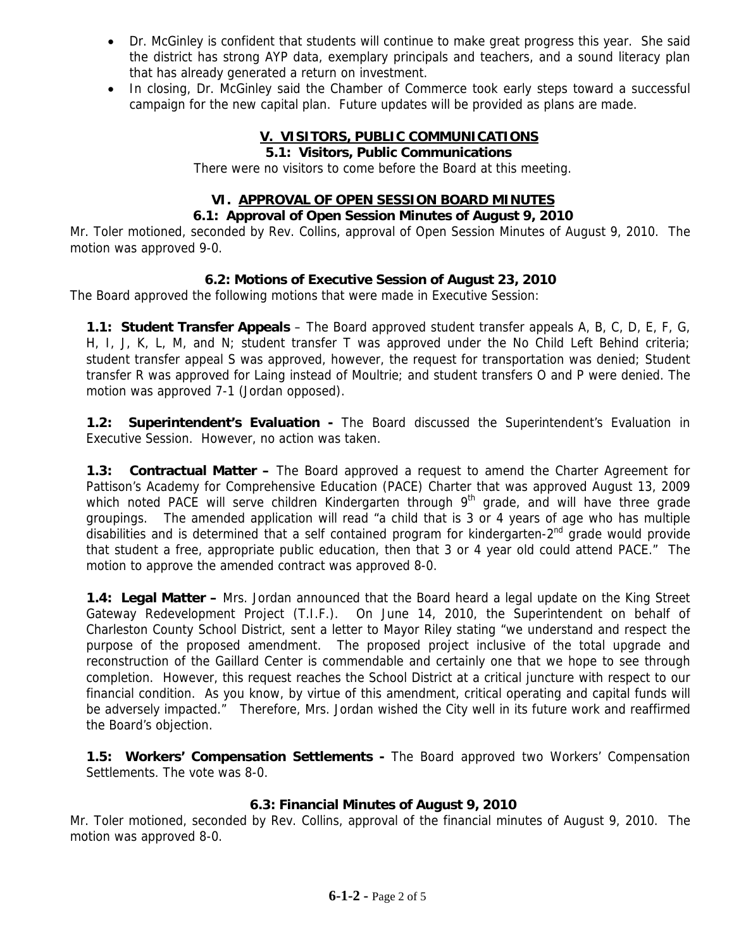- Dr. McGinley is confident that students will continue to make great progress this year. She said the district has strong AYP data, exemplary principals and teachers, and a sound literacy plan that has already generated a return on investment.
- In closing, Dr. McGinley said the Chamber of Commerce took early steps toward a successful campaign for the new capital plan. Future updates will be provided as plans are made.

# **V. VISITORS, PUBLIC COMMUNICATIONS**

### **5.1: Visitors, Public Communications**

There were no visitors to come before the Board at this meeting.

# **VI. APPROVAL OF OPEN SESSION BOARD MINUTES**

## **6.1: Approval of Open Session Minutes of August 9, 2010**

Mr. Toler motioned, seconded by Rev. Collins, approval of Open Session Minutes of August 9, 2010. The motion was approved 9-0.

# **6.2: Motions of Executive Session of August 23, 2010**

The Board approved the following motions that were made in Executive Session:

**1.1: Student Transfer Appeals** – The Board approved student transfer appeals A, B, C, D, E, F, G, H, I, J, K, L, M, and N; student transfer T was approved under the No Child Left Behind criteria; student transfer appeal S was approved, however, the request for transportation was denied; Student transfer R was approved for Laing instead of Moultrie; and student transfers O and P were denied. The motion was approved 7-1 (Jordan opposed).

**1.2: Superintendent's Evaluation -** The Board discussed the Superintendent's Evaluation in Executive Session. However, no action was taken.

**1.3: Contractual Matter –** The Board approved a request to amend the Charter Agreement for Pattison's Academy for Comprehensive Education (PACE) Charter that was approved August 13, 2009 which noted PACE will serve children Kindergarten through  $9<sup>th</sup>$  grade, and will have three grade groupings. The amended application will read "a child that is 3 or 4 years of age who has multiple disabilities and is determined that a self contained program for kindergarten-2<sup>nd</sup> grade would provide that student a free, appropriate public education, then that 3 or 4 year old could attend PACE." The motion to approve the amended contract was approved 8-0.

**1.4: Legal Matter –** Mrs. Jordan announced that the Board heard a legal update on the King Street Gateway Redevelopment Project (T.I.F.). On June 14, 2010, the Superintendent on behalf of Charleston County School District, sent a letter to Mayor Riley stating "we understand and respect the purpose of the proposed amendment. The proposed project inclusive of the total upgrade and reconstruction of the Gaillard Center is commendable and certainly one that we hope to see through completion. However, this request reaches the School District at a critical juncture with respect to our financial condition. As you know, by virtue of this amendment, critical operating and capital funds will be adversely impacted." Therefore, Mrs. Jordan wished the City well in its future work and reaffirmed the Board's objection.

**1.5: Workers' Compensation Settlements -** The Board approved two Workers' Compensation Settlements. The vote was 8-0.

# **6.3: Financial Minutes of August 9, 2010**

Mr. Toler motioned, seconded by Rev. Collins, approval of the financial minutes of August 9, 2010. The motion was approved 8-0.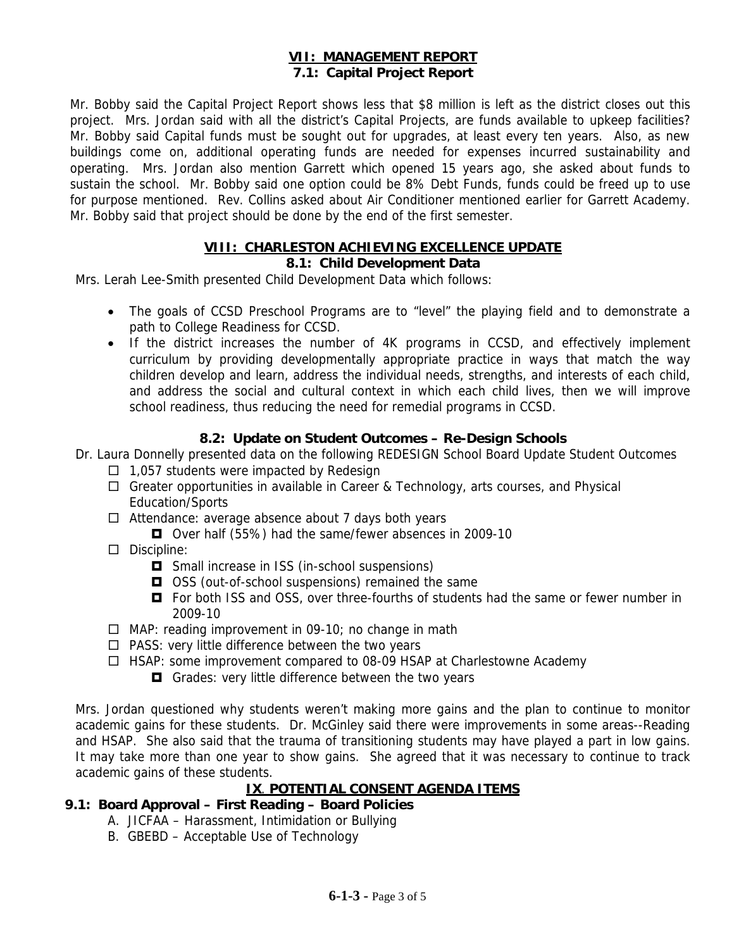## **VII: MANAGEMENT REPORT 7.1: Capital Project Report**

Mr. Bobby said the Capital Project Report shows less that \$8 million is left as the district closes out this project. Mrs. Jordan said with all the district's Capital Projects, are funds available to upkeep facilities? Mr. Bobby said Capital funds must be sought out for upgrades, at least every ten years. Also, as new buildings come on, additional operating funds are needed for expenses incurred sustainability and operating. Mrs. Jordan also mention Garrett which opened 15 years ago, she asked about funds to sustain the school. Mr. Bobby said one option could be 8% Debt Funds, funds could be freed up to use for purpose mentioned. Rev. Collins asked about Air Conditioner mentioned earlier for Garrett Academy. Mr. Bobby said that project should be done by the end of the first semester.

#### **VIII: CHARLESTON ACHIEVING EXCELLENCE UPDATE 8.1: Child Development Data**

Mrs. Lerah Lee-Smith presented Child Development Data which follows:

- The goals of CCSD Preschool Programs are to "level" the playing field and to demonstrate a path to College Readiness for CCSD.
- If the district increases the number of 4K programs in CCSD, and effectively implement curriculum by providing developmentally appropriate practice in ways that match the way children develop and learn, address the individual needs, strengths, and interests of each child, and address the social and cultural context in which each child lives, then we will improve school readiness, thus reducing the need for remedial programs in CCSD.

# **8.2: Update on Student Outcomes – Re-Design Schools**

Dr. Laura Donnelly presented data on the following REDESIGN School Board Update Student Outcomes

- $\Box$  1,057 students were impacted by Redesign
- □ Greater opportunities in available in Career & Technology, arts courses, and Physical Education/Sports
- $\Box$  Attendance: average absence about 7 days both years
	- Over half (55%) had the same/fewer absences in 2009-10
- $\square$  Discipline:
	- $\Box$  Small increase in ISS (in-school suspensions)
	- **□** OSS (out-of-school suspensions) remained the same
	- $\Box$  For both ISS and OSS, over three-fourths of students had the same or fewer number in 2009-10
- $\Box$  MAP: reading improvement in 09-10; no change in math
- $\Box$  PASS: very little difference between the two years
- $\Box$  HSAP: some improvement compared to 08-09 HSAP at Charlestowne Academy
	- Grades: very little difference between the two years

Mrs. Jordan questioned why students weren't making more gains and the plan to continue to monitor academic gains for these students. Dr. McGinley said there were improvements in some areas--Reading and HSAP. She also said that the trauma of transitioning students may have played a part in low gains. It may take more than one year to show gains. She agreed that it was necessary to continue to track academic gains of these students.

## **IX**. **POTENTIAL CONSENT AGENDA ITEMS**

# **9.1: Board Approval – First Reading – Board Policies**

- A. JICFAA Harassment, Intimidation or Bullying
- B. GBEBD Acceptable Use of Technology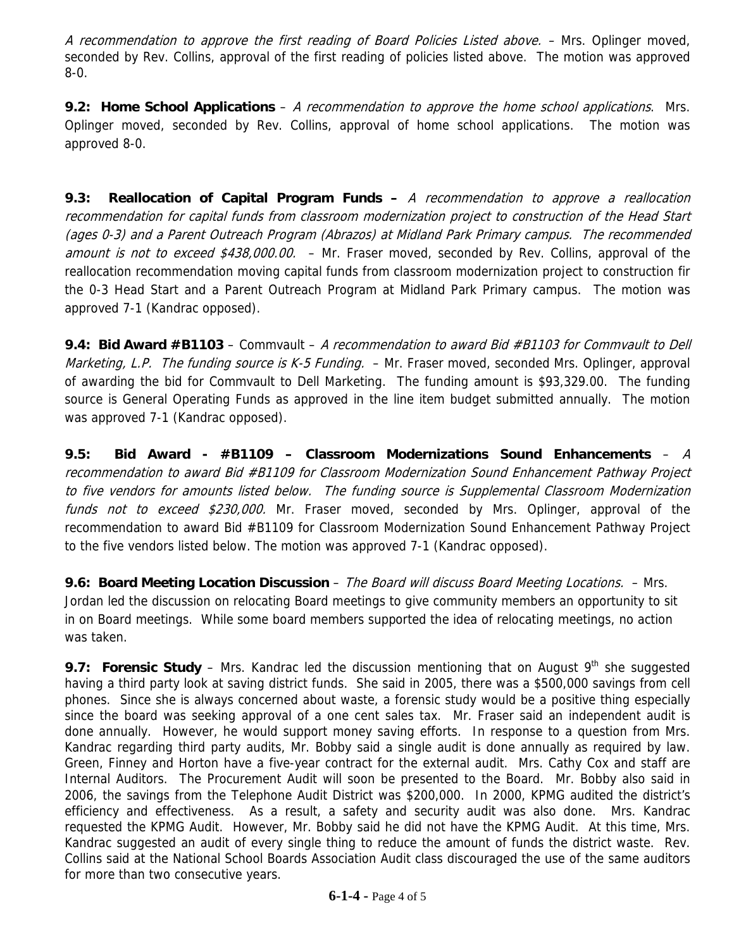A recommendation to approve the first reading of Board Policies Listed above. – Mrs. Oplinger moved, seconded by Rev. Collins, approval of the first reading of policies listed above. The motion was approved 8-0.

**9.2: Home School Applications** – A recommendation to approve the home school applications. Mrs. Oplinger moved, seconded by Rev. Collins, approval of home school applications. The motion was approved 8-0.

**9.3: Reallocation of Capital Program Funds –** A recommendation to approve a reallocation recommendation for capital funds from classroom modernization project to construction of the Head Start (ages 0-3) and a Parent Outreach Program (Abrazos) at Midland Park Primary campus. The recommended amount is not to exceed \$438,000.00. - Mr. Fraser moved, seconded by Rev. Collins, approval of the reallocation recommendation moving capital funds from classroom modernization project to construction fir the 0-3 Head Start and a Parent Outreach Program at Midland Park Primary campus. The motion was approved 7-1 (Kandrac opposed).

**9.4: Bid Award #B1103** – Commvault – A recommendation to award Bid #B1103 for Commvault to Dell *Marketing, L.P. The funding source is K-5 Funding.*  $-$  Mr. Fraser moved, seconded Mrs. Oplinger, approval of awarding the bid for Commvault to Dell Marketing. The funding amount is \$93,329.00. The funding source is General Operating Funds as approved in the line item budget submitted annually. The motion was approved 7-1 (Kandrac opposed).

**9.5: Bid Award - #B1109 – Classroom Modernizations Sound Enhancements** – A recommendation to award Bid #B1109 for Classroom Modernization Sound Enhancement Pathway Project to five vendors for amounts listed below. The funding source is Supplemental Classroom Modernization funds not to exceed \$230,000. Mr. Fraser moved, seconded by Mrs. Oplinger, approval of the recommendation to award Bid #B1109 for Classroom Modernization Sound Enhancement Pathway Project to the five vendors listed below. The motion was approved 7-1 (Kandrac opposed).

**9.6: Board Meeting Location Discussion** – The Board will discuss Board Meeting Locations. – Mrs. Jordan led the discussion on relocating Board meetings to give community members an opportunity to sit in on Board meetings. While some board members supported the idea of relocating meetings, no action was taken.

**9.7: Forensic Study** – Mrs. Kandrac led the discussion mentioning that on August  $9<sup>th</sup>$  she suggested having a third party look at saving district funds. She said in 2005, there was a \$500,000 savings from cell phones. Since she is always concerned about waste, a forensic study would be a positive thing especially since the board was seeking approval of a one cent sales tax. Mr. Fraser said an independent audit is done annually. However, he would support money saving efforts. In response to a question from Mrs. Kandrac regarding third party audits, Mr. Bobby said a single audit is done annually as required by law. Green, Finney and Horton have a five-year contract for the external audit. Mrs. Cathy Cox and staff are Internal Auditors. The Procurement Audit will soon be presented to the Board. Mr. Bobby also said in 2006, the savings from the Telephone Audit District was \$200,000. In 2000, KPMG audited the district's efficiency and effectiveness. As a result, a safety and security audit was also done. Mrs. Kandrac requested the KPMG Audit. However, Mr. Bobby said he did not have the KPMG Audit. At this time, Mrs. Kandrac suggested an audit of every single thing to reduce the amount of funds the district waste. Rev. Collins said at the National School Boards Association Audit class discouraged the use of the same auditors for more than two consecutive years.